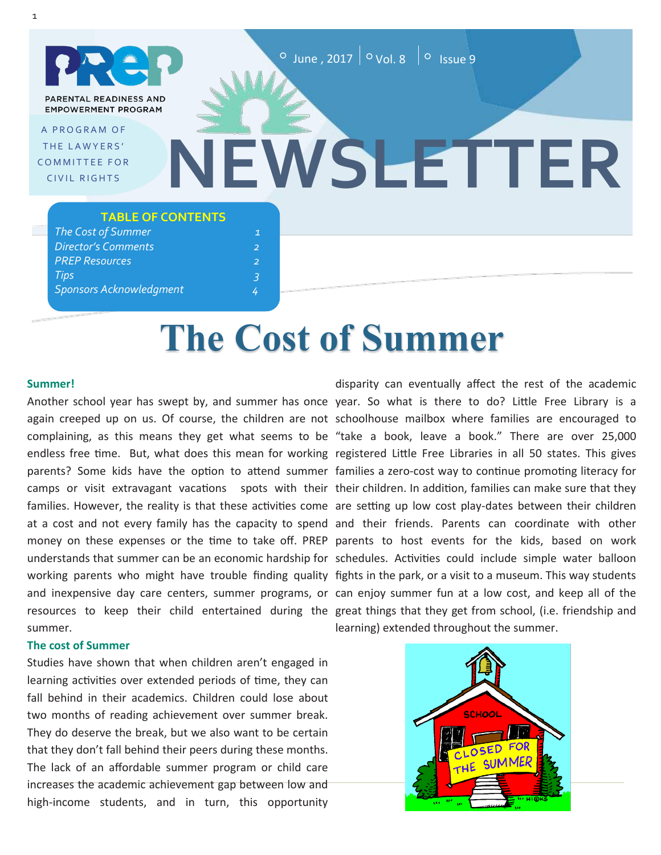PARENTAL READINESS AND **EMPOWERMENT PROGRAM** 

A PROGRAM OF THE LAWYERS' **COMMITTEE FOR** CIVIL RIGHTS

# **NEWSLETTER**

#### **TABLE OF CONTENTS**

## **The Cost of Summer**

#### **Summer!**

Another school year has swept by, and summer has once year. So what is there to do? Little Free Library is a again creeped up on us. Of course, the children are not schoolhouse mailbox where families are encouraged to complaining, as this means they get what seems to be "take a book, leave a book." There are over 25,000 endless free time. But, what does this mean for working registered Little Free Libraries in all 50 states. This gives parents? Some kids have the option to attend summer families a zero-cost way to continue promoting literacy for camps or visit extravagant vacations spots with their their children. In addition, families can make sure that they families. However, the reality is that these activities come are setting up low cost play-dates between their children at a cost and not every family has the capacity to spend and their friends. Parents can coordinate with other money on these expenses or the time to take off. PREP parents to host events for the kids, based on work understands that summer can be an economic hardship for schedules. Activities could include simple water balloon working parents who might have trouble finding quality fights in the park, or a visit to a museum. This way students and inexpensive day care centers, summer programs, or can enjoy summer fun at a low cost, and keep all of the resources to keep their child entertained during the great things that they get from school, (i.e. friendship and summer.

#### **The cost of Summer**

Studies have shown that when children aren't engaged in learning activities over extended periods of time, they can fall behind in their academics. Children could lose about two months of reading achievement over summer break. They do deserve the break, but we also want to be certain that they don't fall behind their peers during these months. The lack of an affordable summer program or child care increases the academic achievement gap between low and high-income students, and in turn, this opportunity

disparity can eventually affect the rest of the academic learning) extended throughout the summer.

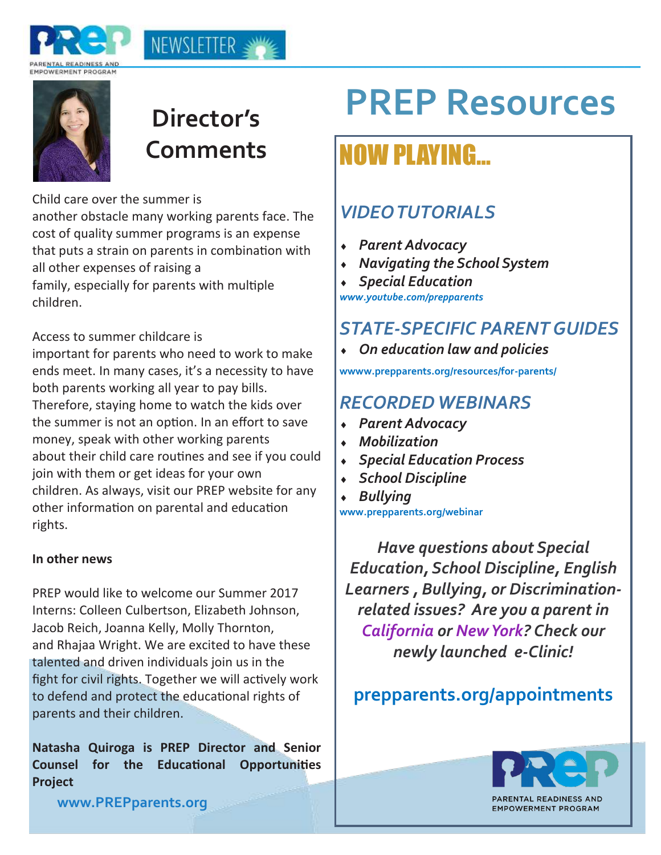



## **Director's**

NEWSLETTER ≤™

Child care over the summer is

another obstacle many working parents face. The cost of quality summer programs is an expense that puts a strain on parents in combination with all other expenses of raising a family, especially for parents with multiple children.

#### Access to summer childcare is

important for parents who need to work to make ends meet. In many cases, it's a necessity to have both parents working all year to pay bills. Therefore, staying home to watch the kids over the summer is not an option. In an effort to save money, speak with other working parents about their child care routines and see if you could join with them or get ideas for your own children. As always, visit our PREP website for any other information on parental and education rights.

#### **In other news**

PREP would like to welcome our Summer 2017 Interns: Colleen Culbertson, Elizabeth Johnson, Jacob Reich, Joanna Kelly, Molly Thornton, and Rhajaa Wright. We are excited to have these talented and driven individuals join us in the fight for civil rights. Together we will actively work to defend and protect the educational rights of parents and their children.

**Natasha Quiroga is PREP Director and Senior Counsel for the Educational Opportunities Project** 

## **PREP Resources**

## **Comments NOW PLAYING...**

## *VIDEO TUTORIALS*

- *Parent Advocacy*
- *Navigating the School System*
- *Special Education*

*www.youtube.com/prepparents*

## *STATE-SPECIFIC PARENT GUIDES*

*On education law and policies* 

**wwww.prepparents.org/resources/for-parents/**

### *RECORDED WEBINARS*

- *Parent Advocacy*
- *Mobilization*
- *Special Education Process*
- *School Discipline*
- *Bullying*

**www.prepparents.org/webinar**

*Have questions about Special Education, School Discipline, English Learners , Bullying, or Discriminationrelated issues? Are you a parent in California or New York? Check our newly launched e-Clinic!* 

### **prepparents.org/appointments**



**www.PREPparents.org**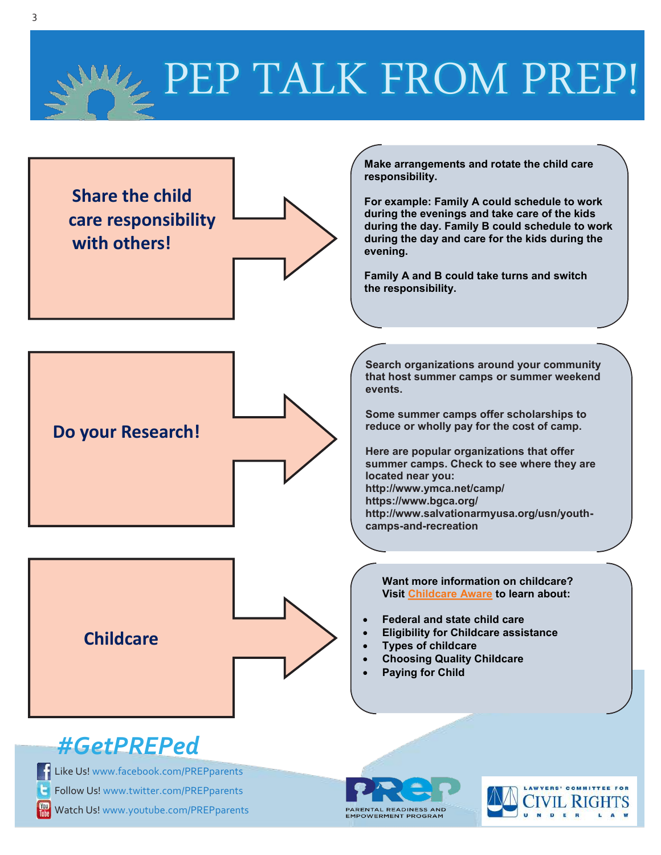## PEP TALK FROM PREP!



Watch Us! www.youtube.com/PREPparents

ENTAL READINESS AND<br>OWERMENT PROGRAM